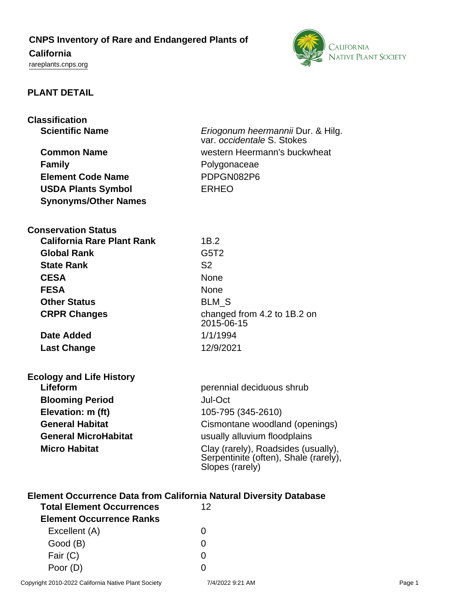## **CNPS Inventory of Rare and Endangered Plants of**

# **California**

<rareplants.cnps.org>



### **PLANT DETAIL**

| <b>Classification</b>       |                                                                 |
|-----------------------------|-----------------------------------------------------------------|
| <b>Scientific Name</b>      | Eriogonum heermannii Dur. & Hilg.<br>var. occidentale S. Stokes |
| <b>Common Name</b>          | western Heermann's buckwheat                                    |
| <b>Family</b>               | Polygonaceae                                                    |
| <b>Element Code Name</b>    | PDPGN082P6                                                      |
| <b>USDA Plants Symbol</b>   | <b>ERHEO</b>                                                    |
| <b>Synonyms/Other Names</b> |                                                                 |
| <b>Conservation Status</b>  |                                                                 |

| California Rare Plant Rank | 1B.2                                      |
|----------------------------|-------------------------------------------|
| <b>Global Rank</b>         | G <sub>5</sub> T <sub>2</sub>             |
| <b>State Rank</b>          | S <sub>2</sub>                            |
| <b>CESA</b>                | <b>None</b>                               |
| <b>FESA</b>                | <b>None</b>                               |
| <b>Other Status</b>        | <b>BLM S</b>                              |
| <b>CRPR Changes</b>        | changed from 4.2 to 1B.2 on<br>2015-06-15 |
| <b>Date Added</b>          | 1/1/1994                                  |
| <b>Last Change</b>         | 12/9/2021                                 |
|                            |                                           |

| <b>Ecology and Life History</b> |                                               |
|---------------------------------|-----------------------------------------------|
| Lifeform                        | perennial deciduous                           |
| <b>Blooming Period</b>          | Jul-Oct                                       |
| Elevation: m (ft)               | 105-795 (345-2610)                            |
| <b>General Habitat</b>          | Cismontane woodla                             |
| <b>General MicroHabitat</b>     | usually alluvium floc                         |
| <b>Micro Habitat</b>            | Clay (rarely), Roads<br>Conjointinito (often) |

| γוטאָט αווα ∟ווס וווסנטו    |                                                                                                 |
|-----------------------------|-------------------------------------------------------------------------------------------------|
| Lifeform                    | perennial deciduous shrub                                                                       |
| <b>Blooming Period</b>      | Jul-Oct                                                                                         |
| Elevation: m (ft)           | 105-795 (345-2610)                                                                              |
| <b>General Habitat</b>      | Cismontane woodland (openings)                                                                  |
| <b>General MicroHabitat</b> | usually alluvium floodplains                                                                    |
| <b>Micro Habitat</b>        | Clay (rarely), Roadsides (usually),<br>Serpentinite (often), Shale (rarely),<br>Slopes (rarely) |
|                             |                                                                                                 |

## **Element Occurrence Data from California Natural Diversity Database**

| <b>Total Element Occurrences</b> | 12 |  |
|----------------------------------|----|--|
| <b>Element Occurrence Ranks</b>  |    |  |
| Excellent (A)                    |    |  |
| Good (B)                         |    |  |
| Fair $(C)$                       |    |  |
| Poor (D)                         |    |  |
|                                  |    |  |